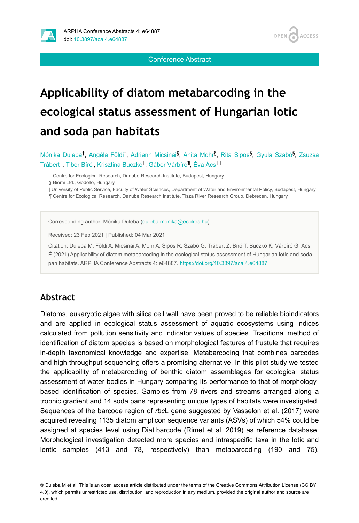



Conference Abstract

# **Applicability of diatom metabarcoding in the ecological status assessment of Hungarian lotic and soda pan habitats**

Mónika Duleba<sup>‡</sup>, Angéla Földi<sup>‡</sup>, Adrienn Micsinai<sup>§</sup>, Anita Mohr<sup>§</sup>, Rita Sipos<sup>§</sup>, Gyula Szabó<sup>§</sup>, Zsuzsa Trábert<sup>‡</sup>, Tibor Bíró<sup>l</sup>, Krisztina Buczkó<sup>‡</sup>, Gábor Várbíró<sup>¶</sup>, Éva Ács<sup>‡, I</sup>

‡ Centre for Ecological Research, Danube Research Institute, Budapest, Hungary

| University of Public Service, Faculty of Water Sciences, Department of Water and Environmental Policy, Budapest, Hungary ¶ Centre for Ecological Research, Danube Research Institute, Tisza River Research Group, Debrecen, Hungary

Corresponding author: Mónika Duleba ([duleba.monika@ecolres.hu](mailto:duleba.monika@ecolres.hu))

Received: 23 Feb 2021 | Published: 04 Mar 2021

Citation: Duleba M, Földi A, Micsinai A, Mohr A, Sipos R, Szabó G, Trábert Z, Bíró T, Buczkó K, Várbíró G, Ács É (2021) Applicability of diatom metabarcoding in the ecological status assessment of Hungarian lotic and soda pan habitats. ARPHA Conference Abstracts 4: e64887.<https://doi.org/10.3897/aca.4.e64887>

#### **Abstract**

Diatoms, eukaryotic algae with silica cell wall have been proved to be reliable bioindicators and are applied in ecological status assessment of aquatic ecosystems using indices calculated from pollution sensitivity and indicator values of species. Traditional method of identification of diatom species is based on morphological features of frustule that requires in-depth taxonomical knowledge and expertise. Metabarcoding that combines barcodes and high-throughput sequencing offers a promising alternative. In this pilot study we tested the applicability of metabarcoding of benthic diatom assemblages for ecological status assessment of water bodies in Hungary comparing its performance to that of morphologybased identification of species. Samples from 78 rivers and streams arranged along a trophic gradient and 14 soda pans representing unique types of habitats were investigated. Sequences of the barcode region of *rbc*L gene suggested by Vasselon et al. (2017) were acquired revealing 1135 diatom amplicon sequence variants (ASVs) of which 54% could be assigned at species level using Diat.barcode (Rimet et al. 2019) as reference database. Morphological investigation detected more species and intraspecific taxa in the lotic and lentic samples (413 and 78, respectively) than metabarcoding (190 and 75).

<sup>§</sup> Biomi Ltd., Gödöllő, Hungary

<sup>©</sup> Duleba M et al. This is an open access article distributed under the terms of the Creative Commons Attribution License (CC BY 4.0), which permits unrestricted use, distribution, and reproduction in any medium, provided the original author and source are credited.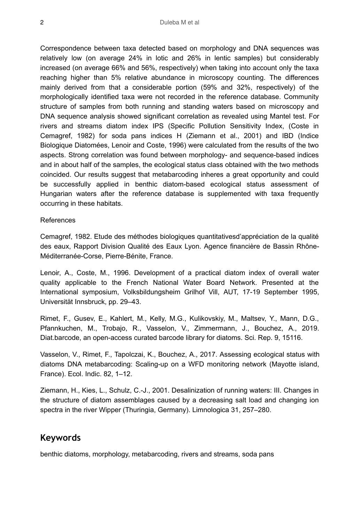Correspondence between taxa detected based on morphology and DNA sequences was relatively low (on average 24% in lotic and 26% in lentic samples) but considerably increased (on average 66% and 56%, respectively) when taking into account only the taxa reaching higher than 5% relative abundance in microscopy counting. The differences mainly derived from that a considerable portion (59% and 32%, respectively) of the morphologically identified taxa were not recorded in the reference database. Community structure of samples from both running and standing waters based on microscopy and DNA sequence analysis showed significant correlation as revealed using Mantel test. For rivers and streams diatom index IPS (Specific Pollution Sensitivity Index, (Coste in Cemagref, 1982) for soda pans indices H (Ziemann et al., 2001) and IBD (Indice Biologique Diatomées, Lenoir and Coste, 1996) were calculated from the results of the two aspects. Strong correlation was found between morphology- and sequence-based indices and in about half of the samples, the ecological status class obtained with the two methods coincided. Our results suggest that metabarcoding inheres a great opportunity and could be successfully applied in benthic diatom-based ecological status assessment of Hungarian waters after the reference database is supplemented with taxa frequently occurring in these habitats.

#### References

Cemagref, 1982. Etude des méthodes biologiques quantitativesd'appréciation de la qualité des eaux, Rapport Division Qualité des Eaux Lyon. Agence financière de Bassin Rhône-Méditerranée-Corse, Pierre-Bénite, France.

Lenoir, A., Coste, M., 1996. Development of a practical diatom index of overall water quality applicable to the French National Water Board Network. Presented at the International symposium, Volksbildungsheim Grilhof Vill, AUT, 17-19 September 1995, Universität Innsbruck, pp. 29–43.

Rimet, F., Gusev, E., Kahlert, M., Kelly, M.G., Kulikovskiy, M., Maltsev, Y., Mann, D.G., Pfannkuchen, M., Trobajo, R., Vasselon, V., Zimmermann, J., Bouchez, A., 2019. Diat.barcode, an open-access curated barcode library for diatoms. Sci. Rep. 9, 15116.

Vasselon, V., Rimet, F., Tapolczai, K., Bouchez, A., 2017. Assessing ecological status with diatoms DNA metabarcoding: Scaling-up on a WFD monitoring network (Mayotte island, France). Ecol. Indic. 82, 1–12.

Ziemann, H., Kies, L., Schulz, C.-J., 2001. Desalinization of running waters: III. Changes in the structure of diatom assemblages caused by a decreasing salt load and changing ion spectra in the river Wipper (Thuringia, Germany). Limnologica 31, 257–280.

### **Keywords**

benthic diatoms, morphology, metabarcoding, rivers and streams, soda pans